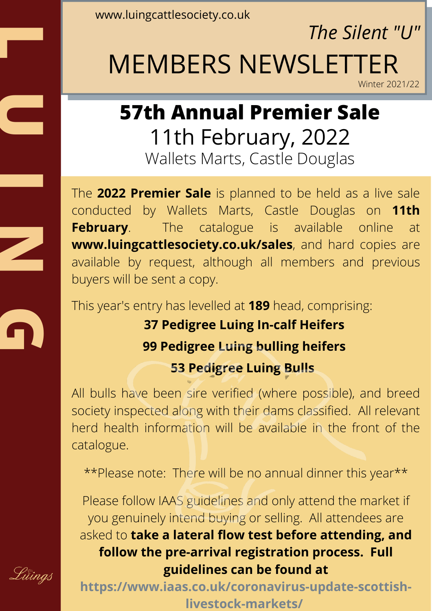www.luingcattlesociety.co.uk

**L**

**U**

**I**

**G**

Lüïngs

*The Silent "U"*

## MEMBERS NEWSLETTER

Winter 2021/22

## **57th Annual Premier Sale** 11th February, 2022 Wallets Marts, Castle Douglas

The **2022 Premier Sale** is planned to be held as a live sale conducted by Wallets Marts, Castle Douglas on **11th February**. The catalogue is available online at **www.luingcattlesociety.co.uk/sales**, and hard copies are available by request, although all members and previous buyers will be sent a copy. **N**

This year's entry has levelled at **189** head, comprising:

## **37 Pedigree Luing In-calf Heifers 99 Pedigree Luing bulling heifers 53 Pedigree Luing Bulls**

All bulls have been sire verified (where possible), and breed society inspected along with their dams classified. All relevant herd health information will be available in the front of the catalogue.

\*\*Please note: There will be no annual dinner this year\*\*

Please follow IAAS guidelines and only attend the market if you genuinely intend buying or selling. All attendees are asked to **take a lateral flow test before attending, and follow the pre-arrival registration process. Full guidelines can be found at**

**https://www.iaas.co.uk/coronavirus-update-scottishlivestock-markets/**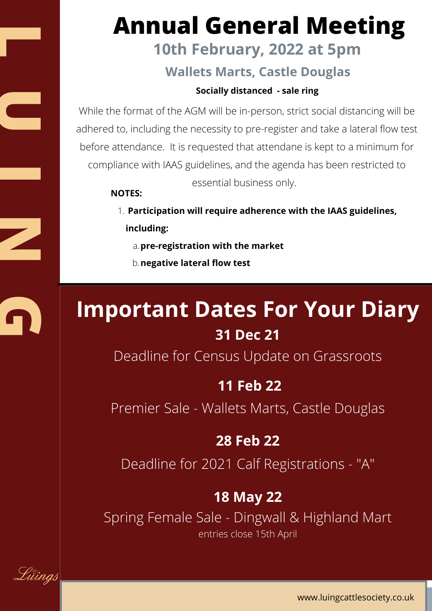## **Annual General Meeting**

## **10th February, 2022 at 5pm**

#### **Wallets Marts, Castle Douglas**

#### **Socially distanced - sale ring**

While the format of the AGM will be in-person, strict social distancing will be adhered to, including the necessity to pre-register and take a lateral flow test before attendance. It is requested that attendane is kept to a minimum for compliance with IAAS guidelines, and the agenda has been restricted to essential business only.

#### **NOTES:**

- **Participation will require adherence with the IAAS guidelines,** 1. **including:**
	- **pre-registration with the market** a.
	- **negative lateral flow test** b.

## **Important Dates For Your Diary 31 Dec 21**

Deadline for Census Update on Grassroots

#### **11 Feb 22**

Premier Sale - Wallets Marts, Castle Douglas

#### **28 Feb 22**

Deadline for 2021 Calf Registrations - "A"

#### **18 May 22**

Spring Female Sale - Dingwall & Highland Mart entries close 15th April

Lüïngs

**L**

**U**

**I**

**N**

**G**

www.luingcattlesociety.co.uk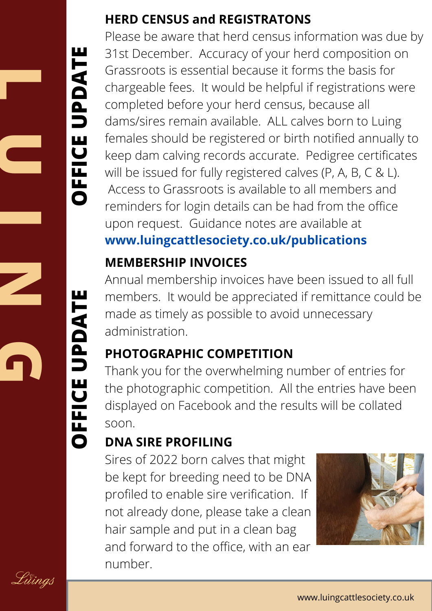### **U OFFI CEUPDTE**

**L**

**I**

**N**

**G**

**OFF**

**CE**

**U**

**PD**

**TE**

### **HERD CENSUS and REGISTRATONS**

Please be aware that herd census information was due by 31st December. Accuracy of your herd composition on Grassroots is essential because it forms the basis for chargeable fees. It would be helpful if registrations were completed before your herd census, because all dams/sires remain available. ALL calves born to Luing females should be registered or birth notified annually to keep dam calving records accurate. Pedigree certificates will be issued for fully registered calves (P, A, B, C & L). Access to Grassroots is available to all members and reminders for login details can be had from the office upon request. Guidance notes are available at **www.luingcattlesociety.co.uk/publications**  $\blacksquare$ 

## **MEMBERSHIP INVOICES**

Annual membership invoices have been issued to all full members. It would be appreciated if remittance could be made as timely as possible to avoid unnecessary administration.  $\blacksquare$ 

## **PHOTOGRAPHIC COMPETITION**

Thank you for the overwhelming number of entries for the photographic competition. All the entries have been displayed on Facebook and the results will be collated soon.

## **DNA SIRE PROFILING**

Sires of 2022 born calves that might be kept for breeding need to be DNA profiled to enable sire verification. If not already done, please take a clean hair sample and put in a clean bag and forward to the office, with an ear number.